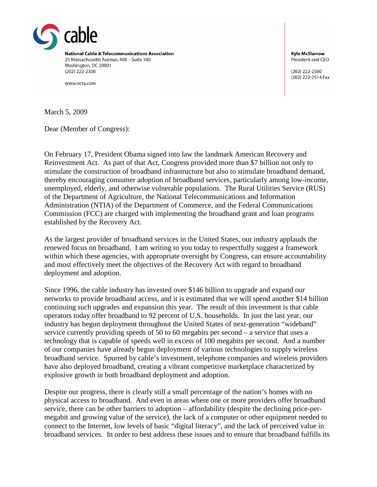

www.ncta.com

**Kyle McSlarrow** President and CEO

(202) 222-2500 (202) 222-2514 Fax

March 5, 2009

Dear (Member of Congress):

On February 17, President Obama signed into law the landmark American Recovery and Reinvestment Act. As part of that Act, Congress provided more than \$7 billion not only to stimulate the construction of broadband infrastructure but also to stimulate broadband demand, thereby encouraging consumer adoption of broadband services, particularly among low-income, unemployed, elderly, and otherwise vulnerable populations. The Rural Utilities Service (RUS) of the Department of Agriculture, the National Telecommunications and Information Administration (NTIA) of the Department of Commerce, and the Federal Communications Commission (FCC) are charged with implementing the broadband grant and loan programs established by the Recovery Act.

As the largest provider of broadband services in the United States, our industry applauds the renewed focus on broadband. I am writing to you today to respectfully suggest a framework within which these agencies, with appropriate oversight by Congress, can ensure accountability and most effectively meet the objectives of the Recovery Act with regard to broadband deployment and adoption.

Since 1996, the cable industry has invested over \$146 billion to upgrade and expand our networks to provide broadband access, and it is estimated that we will spend another \$14 billion continuing such upgrades and expansion this year. The result of this investment is that cable operators today offer broadband to 92 percent of U.S. households. In just the last year, our industry has begun deployment throughout the United States of next-generation "wideband" service currently providing speeds of 50 to 60 megabits per second – a service that uses a technology that is capable of speeds well in excess of 100 megabits per second. And a number of our companies have already begun deployment of various technologies to supply wireless broadband service. Spurred by cable's investment, telephone companies and wireless providers have also deployed broadband, creating a vibrant competitive marketplace characterized by explosive growth in both broadband deployment and adoption.

Despite our progress, there is clearly still a small percentage of the nation's homes with no physical access to broadband. And even in areas where one or more providers offer broadband service, there can be other barriers to adoption – affordability (despite the declining price-permegabit and growing value of the service), the lack of a computer or other equipment needed to connect to the Internet, low levels of basic "digital literacy", and the lack of perceived value in broadband services. In order to best address these issues and to ensure that broadband fulfills its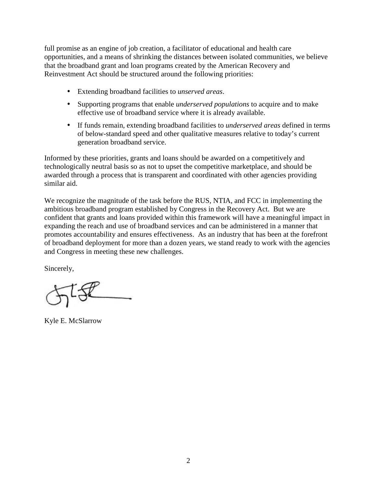full promise as an engine of job creation, a facilitator of educational and health care opportunities, and a means of shrinking the distances between isolated communities, we believe that the broadband grant and loan programs created by the American Recovery and Reinvestment Act should be structured around the following priorities:

- Extending broadband facilities to *unserved areas*.
- Supporting programs that enable *underserved populations* to acquire and to make effective use of broadband service where it is already available.
- If funds remain, extending broadband facilities to *underserved areas* defined in terms of below-standard speed and other qualitative measures relative to today's current generation broadband service.

Informed by these priorities, grants and loans should be awarded on a competitively and technologically neutral basis so as not to upset the competitive marketplace, and should be awarded through a process that is transparent and coordinated with other agencies providing similar aid.

We recognize the magnitude of the task before the RUS, NTIA, and FCC in implementing the ambitious broadband program established by Congress in the Recovery Act. But we are confident that grants and loans provided within this framework will have a meaningful impact in expanding the reach and use of broadband services and can be administered in a manner that promotes accountability and ensures effectiveness. As an industry that has been at the forefront of broadband deployment for more than a dozen years, we stand ready to work with the agencies and Congress in meeting these new challenges.

Sincerely,

Kyle E. McSlarrow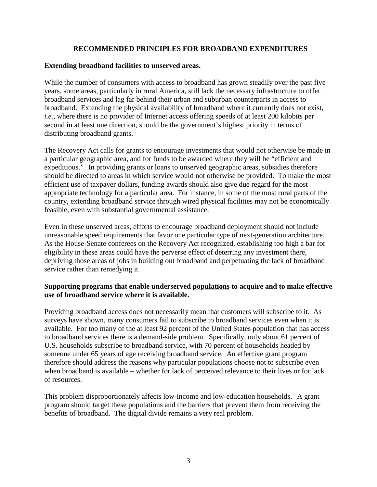## **RECOMMENDED PRINCIPLES FOR BROADBAND EXPENDITURES**

## **Extending broadband facilities to unserved areas.**

While the number of consumers with access to broadband has grown steadily over the past five years, some areas, particularly in rural America, still lack the necessary infrastructure to offer broadband services and lag far behind their urban and suburban counterparts in access to broadband. Extending the physical availability of broadband where it currently does not exist, *i.e.*, where there is no provider of Internet access offering speeds of at least 200 kilobits per second in at least one direction, should be the government's highest priority in terms of distributing broadband grants.

The Recovery Act calls for grants to encourage investments that would not otherwise be made in a particular geographic area, and for funds to be awarded where they will be "efficient and expeditious." In providing grants or loans to unserved geographic areas, subsidies therefore should be directed to areas in which service would not otherwise be provided. To make the most efficient use of taxpayer dollars, funding awards should also give due regard for the most appropriate technology for a particular area. For instance, in some of the most rural parts of the country, extending broadband service through wired physical facilities may not be economically feasible, even with substantial governmental assistance.

Even in these unserved areas, efforts to encourage broadband deployment should not include unreasonable speed requirements that favor one particular type of next-generation architecture. As the House-Senate conferees on the Recovery Act recognized, establishing too high a bar for eligibility in these areas could have the perverse effect of deterring any investment there, depriving those areas of jobs in building out broadband and perpetuating the lack of broadband service rather than remedying it.

## **Supporting programs that enable underserved populations to acquire and to make effective use of broadband service where it is available.**

Providing broadband access does not necessarily mean that customers will subscribe to it. As surveys have shown, many consumers fail to subscribe to broadband services even when it is available. For too many of the at least 92 percent of the United States population that has access to broadband services there is a demand-side problem. Specifically, only about 61 percent of U.S. households subscribe to broadband service, with 70 percent of households headed by someone under 65 years of age receiving broadband service. An effective grant program therefore should address the reasons why particular populations choose not to subscribe even when broadband is available – whether for lack of perceived relevance to their lives or for lack of resources.

This problem disproportionately affects low-income and low-education households. A grant program should target these populations and the barriers that prevent them from receiving the benefits of broadband. The digital divide remains a very real problem.